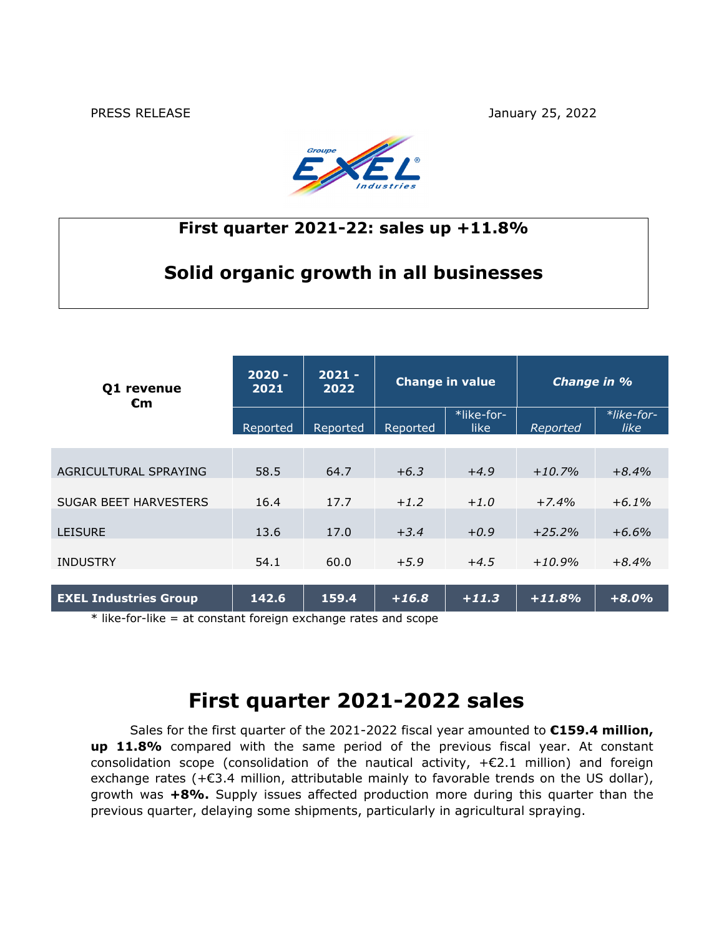PRESS RELEASE January 25, 2022



### **First quarter 2021-22: sales up +11.8%**

### **Solid organic growth in all businesses**

| 01 revenue<br>€m             | $2020 -$<br>2021 | $2021 -$<br>2022 | <b>Change in value</b> |                    | Change in % |                    |
|------------------------------|------------------|------------------|------------------------|--------------------|-------------|--------------------|
|                              | Reported         | Reported         | Reported               | *like-for-<br>like | Reported    | *like-for-<br>like |
|                              |                  |                  |                        |                    |             |                    |
| AGRICULTURAL SPRAYING        | 58.5             | 64.7             | $+6.3$                 | $+4.9$             | $+10.7%$    | $+8.4%$            |
| <b>SUGAR BEET HARVESTERS</b> | 16.4             | 17.7             | $+1.2$                 | $+1.0$             | $+7.4%$     | $+6.1\%$           |
|                              |                  |                  |                        |                    |             |                    |
| <b>LEISURE</b>               | 13.6             | 17.0             | $+3.4$                 | $+0.9$             | $+25.2%$    | $+6.6%$            |
|                              |                  |                  |                        |                    |             |                    |
| <b>INDUSTRY</b>              | 54.1             | 60.0             | $+5.9$                 | $+4.5$             | $+10.9%$    | $+8.4%$            |
| <b>EXEL Industries Group</b> | 142.6            | 159.4            | $+16.8$                | $+11.3$            | $+11.8%$    | $+8.0%$            |

\* like-for-like = at constant foreign exchange rates and scope

# **First quarter 2021-2022 sales**

Sales for the first quarter of the 2021-2022 fiscal year amounted to **€159.4 million, up 11.8%** compared with the same period of the previous fiscal year. At constant consolidation scope (consolidation of the nautical activity,  $+E2.1$  million) and foreign exchange rates (+€3.4 million, attributable mainly to favorable trends on the US dollar), growth was **+8%.** Supply issues affected production more during this quarter than the previous quarter, delaying some shipments, particularly in agricultural spraying.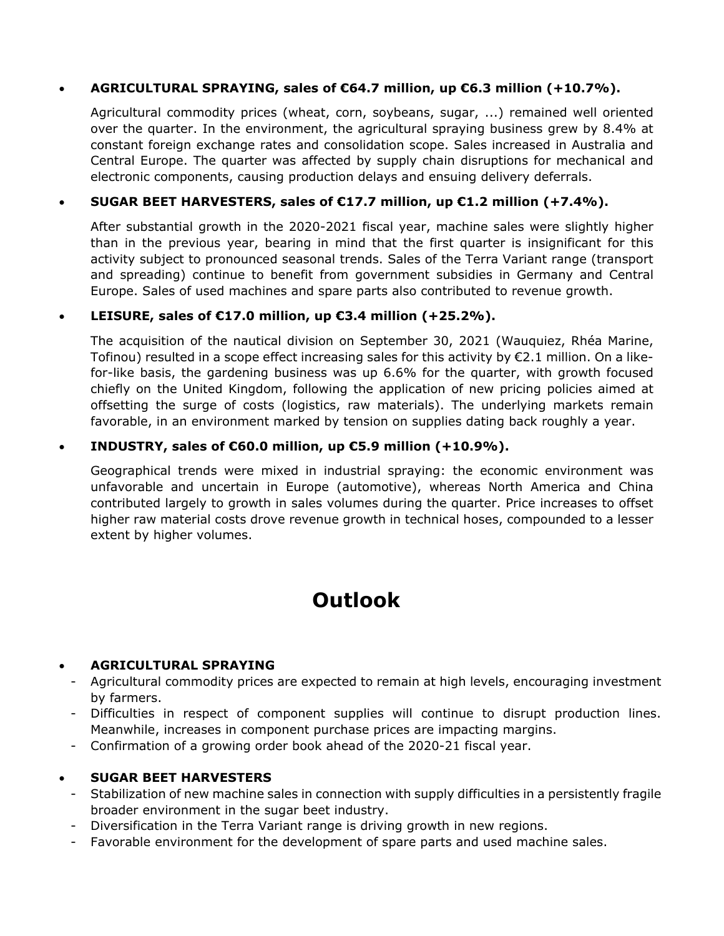### **AGRICULTURAL SPRAYING, sales of €64.7 million, up €6.3 million (+10.7%).**

Agricultural commodity prices (wheat, corn, soybeans, sugar, ...) remained well oriented over the quarter. In the environment, the agricultural spraying business grew by 8.4% at constant foreign exchange rates and consolidation scope. Sales increased in Australia and Central Europe. The quarter was affected by supply chain disruptions for mechanical and electronic components, causing production delays and ensuing delivery deferrals.

### **SUGAR BEET HARVESTERS, sales of €17.7 million, up €1.2 million (+7.4%).**

After substantial growth in the 2020-2021 fiscal year, machine sales were slightly higher than in the previous year, bearing in mind that the first quarter is insignificant for this activity subject to pronounced seasonal trends. Sales of the Terra Variant range (transport and spreading) continue to benefit from government subsidies in Germany and Central Europe. Sales of used machines and spare parts also contributed to revenue growth.

### **LEISURE, sales of €17.0 million, up €3.4 million (+25.2%).**

The acquisition of the nautical division on September 30, 2021 (Wauquiez, Rhéa Marine, Tofinou) resulted in a scope effect increasing sales for this activity by €2.1 million. On a likefor-like basis, the gardening business was up 6.6% for the quarter, with growth focused chiefly on the United Kingdom, following the application of new pricing policies aimed at offsetting the surge of costs (logistics, raw materials). The underlying markets remain favorable, in an environment marked by tension on supplies dating back roughly a year.

### **INDUSTRY, sales of €60.0 million, up €5.9 million (+10.9%).**

Geographical trends were mixed in industrial spraying: the economic environment was unfavorable and uncertain in Europe (automotive), whereas North America and China contributed largely to growth in sales volumes during the quarter. Price increases to offset higher raw material costs drove revenue growth in technical hoses, compounded to a lesser extent by higher volumes.

# **Outlook**

### **AGRICULTURAL SPRAYING**

- Agricultural commodity prices are expected to remain at high levels, encouraging investment by farmers.
- Difficulties in respect of component supplies will continue to disrupt production lines. Meanwhile, increases in component purchase prices are impacting margins.
- Confirmation of a growing order book ahead of the 2020-21 fiscal year.

#### **SUGAR BEET HARVESTERS**

- Stabilization of new machine sales in connection with supply difficulties in a persistently fragile broader environment in the sugar beet industry.
- Diversification in the Terra Variant range is driving growth in new regions.
- Favorable environment for the development of spare parts and used machine sales.